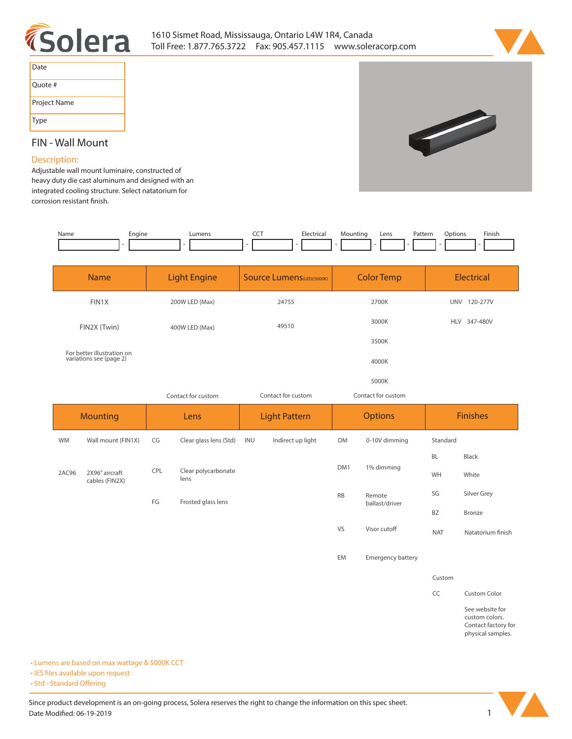



| Date         |
|--------------|
| Quote #      |
| Project Name |
| Type         |

## **FIN - Wall Mount**

## **Description:**

**Adjustable wall mount luminaire, constructed of heavy duty die cast aluminum and designed with an integrated cooling structure. Select natatorium for**  corrosion resistant finish.

| Name | Engine | Lumens | --- | -lectrical | Aountinc<br>- | Lens | Pattern<br>. | Dotions | Finish |
|------|--------|--------|-----|------------|---------------|------|--------------|---------|--------|
|      |        |        |     |            |               |      |              |         |        |

|                 | <b>Name</b>                                           | <b>Light Engine</b> |                             | <b>Source Lumens</b> (LED)(5000K) |                   | <b>Color Temp</b>  |                          | <b>Electrical</b> |                   |
|-----------------|-------------------------------------------------------|---------------------|-----------------------------|-----------------------------------|-------------------|--------------------|--------------------------|-------------------|-------------------|
|                 | FIN1X                                                 | 200W LED (Max)      |                             | 24755                             |                   | 2700K              |                          | UNV 120-277V      |                   |
|                 | FIN2X (Twin)                                          | 400W LED (Max)      |                             | 49510                             |                   | 3000K              |                          | HLV 347-480V      |                   |
|                 |                                                       |                     |                             |                                   |                   |                    | 3500K                    |                   |                   |
|                 | For better illustration on<br>variations see {page 2} |                     |                             |                                   |                   |                    | 4000K                    |                   |                   |
|                 |                                                       |                     |                             |                                   |                   |                    | 5000K                    |                   |                   |
|                 |                                                       | Contact for custom  |                             | Contact for custom                |                   | Contact for custom |                          |                   |                   |
| <b>Mounting</b> |                                                       | Lens                |                             | <b>Light Pattern</b>              |                   | <b>Options</b>     |                          | <b>Finishes</b>   |                   |
|                 |                                                       |                     |                             |                                   |                   |                    |                          |                   |                   |
| <b>WM</b>       | Wall mount (FIN1X)                                    | CG                  | Clear glass lens (Std)      | INU                               | Indirect up light | <b>DM</b>          | 0-10V dimming            | Standard          |                   |
|                 |                                                       |                     |                             |                                   |                   |                    |                          | <b>BL</b>         | Black             |
| 2AC96           | 2X96" aircraft<br>cables (FIN2X)                      | CPL                 | Clear polycarbonate<br>lens |                                   |                   | DM <sub>1</sub>    | 1% dimming               | WH                | White             |
|                 |                                                       | FG                  | Frosted glass lens          |                                   |                   | <b>RB</b>          | Remote<br>ballast/driver | SG                | Silver Grey       |
|                 |                                                       |                     |                             |                                   |                   |                    |                          | BZ                | Bronze            |
|                 |                                                       |                     |                             |                                   |                   | VS                 | Visor cutoff             | <b>NAT</b>        | Natatorium finish |

**Custom**

**CC Custom Color**

**See website for custom colors. Contact factory for physical samples.** 

**• Lumens are based on max wattage & 5000K CCT**

**• IES files available upon request** 

• Std - Standard Offering